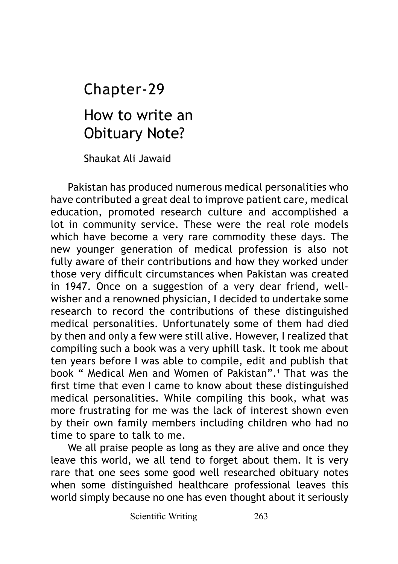How to write an Obituary Note? Chapter-29

Shaukat Ali Jawaid

Pakistan has produced numerous medical personalities who have contributed a great deal to improve patient care, medical education, promoted research culture and accomplished a lot in community service. These were the real role models which have become a very rare commodity these days. The new younger generation of medical profession is also not fully aware of their contributions and how they worked under those very difficult circumstances when Pakistan was created in 1947. Once on a suggestion of a very dear friend, wellwisher and a renowned physician, I decided to undertake some research to record the contributions of these distinguished medical personalities. Unfortunately some of them had died by then and only a few were still alive. However, I realized that compiling such a book was a very uphill task. It took me about ten years before I was able to compile, edit and publish that book " Medical Men and Women of Pakistan".1 That was the first time that even I came to know about these distinguished medical personalities. While compiling this book, what was more frustrating for me was the lack of interest shown even by their own family members including children who had no time to spare to talk to me.

We all praise people as long as they are alive and once they leave this world, we all tend to forget about them. It is very rare that one sees some good well researched obituary notes when some distinguished healthcare professional leaves this world simply because no one has even thought about it seriously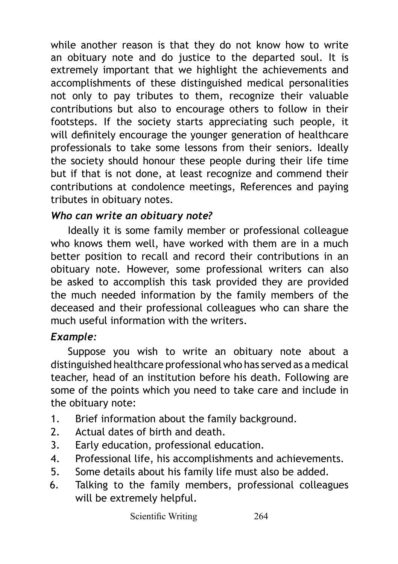while another reason is that they do not know how to write an obituary note and do justice to the departed soul. It is extremely important that we highlight the achievements and accomplishments of these distinguished medical personalities not only to pay tributes to them, recognize their valuable contributions but also to encourage others to follow in their footsteps. If the society starts appreciating such people, it will definitely encourage the younger generation of healthcare professionals to take some lessons from their seniors. Ideally the society should honour these people during their life time but if that is not done, at least recognize and commend their contributions at condolence meetings, References and paying tributes in obituary notes.

## *Who can write an obituary note?*

Ideally it is some family member or professional colleague who knows them well, have worked with them are in a much better position to recall and record their contributions in an obituary note. However, some professional writers can also be asked to accomplish this task provided they are provided the much needed information by the family members of the deceased and their professional colleagues who can share the much useful information with the writers.

## *Example:*

Suppose you wish to write an obituary note about a distinguished healthcare professional who has served as a medical teacher, head of an institution before his death. Following are some of the points which you need to take care and include in the obituary note:

- 1. Brief information about the family background.
- 2. Actual dates of birth and death.
- 3. Early education, professional education.
- 4. Professional life, his accomplishments and achievements.
- 5. Some details about his family life must also be added.
- 6. Talking to the family members, professional colleagues will be extremely helpful.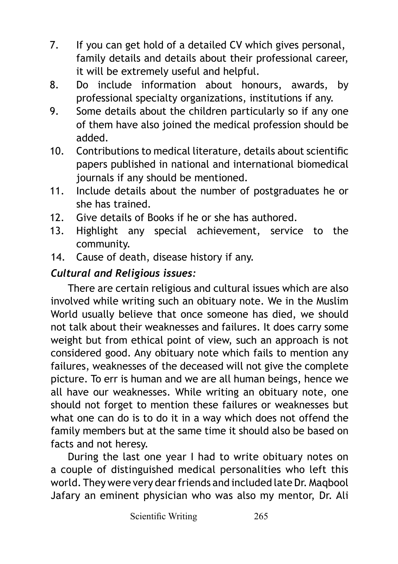- 7. If you can get hold of a detailed CV which gives personal, family details and details about their professional career, it will be extremely useful and helpful.
- 8. Do include information about honours, awards, by professional specialty organizations, institutions if any.
- 9. Some details about the children particularly so if any one of them have also joined the medical profession should be added.
- 10. Contributions to medical literature, details about scientific papers published in national and international biomedical journals if any should be mentioned.
- 11. Include details about the number of postgraduates he or she has trained.
- 12. Give details of Books if he or she has authored.
- 13. Highlight any special achievement, service to the community.
- 14. Cause of death, disease history if any.

## *Cultural and Religious issues:*

There are certain religious and cultural issues which are also involved while writing such an obituary note. We in the Muslim World usually believe that once someone has died, we should not talk about their weaknesses and failures. It does carry some weight but from ethical point of view, such an approach is not considered good. Any obituary note which fails to mention any failures, weaknesses of the deceased will not give the complete picture. To err is human and we are all human beings, hence we all have our weaknesses. While writing an obituary note, one should not forget to mention these failures or weaknesses but what one can do is to do it in a way which does not offend the family members but at the same time it should also be based on facts and not heresy.

During the last one year I had to write obituary notes on a couple of distinguished medical personalities who left this world. They were very dear friends and included late Dr. Maqbool Jafary an eminent physician who was also my mentor, Dr. Ali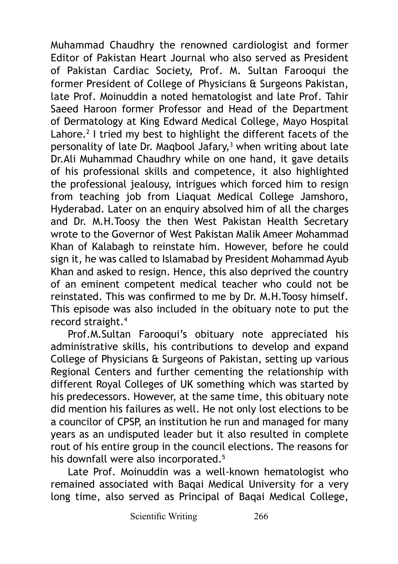Muhammad Chaudhry the renowned cardiologist and former Editor of Pakistan Heart Journal who also served as President of Pakistan Cardiac Society, Prof. M. Sultan Farooqui the former President of College of Physicians & Surgeons Pakistan, late Prof. Moinuddin a noted hematologist and late Prof. Tahir Saeed Haroon former Professor and Head of the Department of Dermatology at King Edward Medical College, Mayo Hospital Lahore.<sup>2</sup> I tried my best to highlight the different facets of the personality of late Dr. Maqbool Jafary,<sup>3</sup> when writing about late Dr.Ali Muhammad Chaudhry while on one hand, it gave details of his professional skills and competence, it also highlighted the professional jealousy, intrigues which forced him to resign from teaching job from Liaquat Medical College Jamshoro, Hyderabad. Later on an enquiry absolved him of all the charges and Dr. M.H.Toosy the then West Pakistan Health Secretary wrote to the Governor of West Pakistan Malik Ameer Mohammad Khan of Kalabagh to reinstate him. However, before he could sign it, he was called to Islamabad by President Mohammad Ayub Khan and asked to resign. Hence, this also deprived the country of an eminent competent medical teacher who could not be reinstated. This was confirmed to me by Dr. M.H.Toosy himself. This episode was also included in the obituary note to put the record straight.4

Prof.M.Sultan Farooqui's obituary note appreciated his administrative skills, his contributions to develop and expand College of Physicians & Surgeons of Pakistan, setting up various Regional Centers and further cementing the relationship with different Royal Colleges of UK something which was started by his predecessors. However, at the same time, this obituary note did mention his failures as well. He not only lost elections to be a councilor of CPSP, an institution he run and managed for many years as an undisputed leader but it also resulted in complete rout of his entire group in the council elections. The reasons for his downfall were also incorporated.<sup>5</sup>

Late Prof. Moinuddin was a well-known hematologist who remained associated with Baqai Medical University for a very long time, also served as Principal of Baqai Medical College,